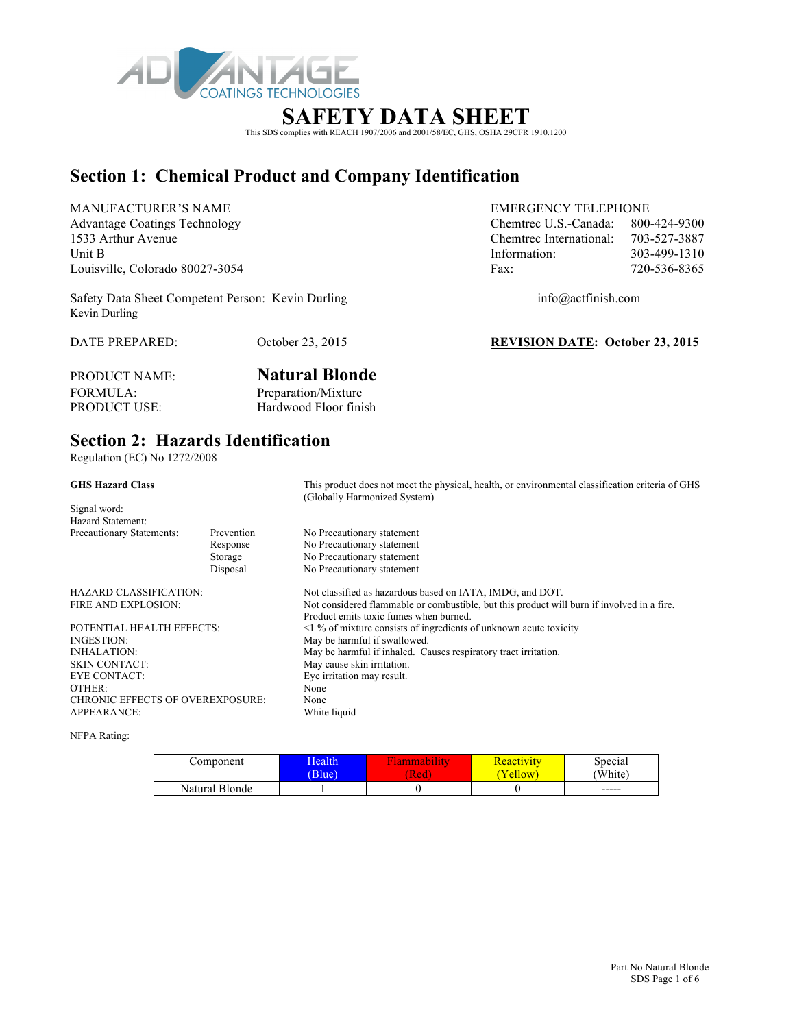

### **SAFETY DATA SHEET**

This SDS complies with REACH 1907/2006 and 2001/58/EC, GHS, OSHA 29CFR 1910.1200

### **Section 1: Chemical Product and Company Identification**

MANUFACTURER'S NAME EMERGENCY TELEPHONE Advantage Coatings Technology Chemtrec U.S.-Canada: 800-424-9300 1533 Arthur Avenue Chemtrec International: 703-527-3887 Unit B 103-499-1310 Louisville, Colorado 80027-3054 Fax: 720-536-8365

Safety Data Sheet Competent Person: Kevin Durling info@actfinish.com Kevin Durling

DATE PREPARED: October 23, 2015 **REVISION DATE: October 23, 2015**

PRODUCT NAME: **Natural Blonde** FORMULA: Preparation/Mixture<br>PRODUCT USE: Hardwood Floor fini Hardwood Floor finish

#### **Section 2: Hazards Identification**

Regulation (EC) No 1272/2008

| <b>GHS Hazard Class</b>                 |            | This product does not meet the physical, health, or environmental classification criteria of GHS<br>(Globally Harmonized System) |  |
|-----------------------------------------|------------|----------------------------------------------------------------------------------------------------------------------------------|--|
| Signal word:<br>Hazard Statement:       |            |                                                                                                                                  |  |
| Precautionary Statements:               | Prevention | No Precautionary statement                                                                                                       |  |
|                                         | Response   | No Precautionary statement                                                                                                       |  |
|                                         | Storage    | No Precautionary statement                                                                                                       |  |
|                                         | Disposal   | No Precautionary statement                                                                                                       |  |
| HAZARD CLASSIFICATION:                  |            | Not classified as hazardous based on IATA, IMDG, and DOT.                                                                        |  |
| FIRE AND EXPLOSION:                     |            | Not considered flammable or combustible, but this product will burn if involved in a fire.                                       |  |
|                                         |            | Product emits toxic fumes when burned.                                                                                           |  |
| POTENTIAL HEALTH EFFECTS:               |            | $\leq$ 1 % of mixture consists of ingredients of unknown acute toxicity                                                          |  |
| INGESTION:                              |            | May be harmful if swallowed.                                                                                                     |  |
| INHALATION:                             |            | May be harmful if inhaled. Causes respiratory tract irritation.                                                                  |  |
| SKIN CONTACT:                           |            | May cause skin irritation.                                                                                                       |  |
| EYE CONTACT:                            |            | Eye irritation may result.                                                                                                       |  |
| OTHER:                                  |            | None                                                                                                                             |  |
| <b>CHRONIC EFFECTS OF OVEREXPOSURE:</b> |            | None                                                                                                                             |  |
| APPEARANCE:                             |            | White liquid                                                                                                                     |  |

NFPA Rating:

| Component      | <b>Iealth</b> | шаоши | <u>Reactivity</u> | Special |
|----------------|---------------|-------|-------------------|---------|
|                | Blue)         | (Red  | ellow             | 'White) |
| Natural Blonde |               |       |                   | $-----$ |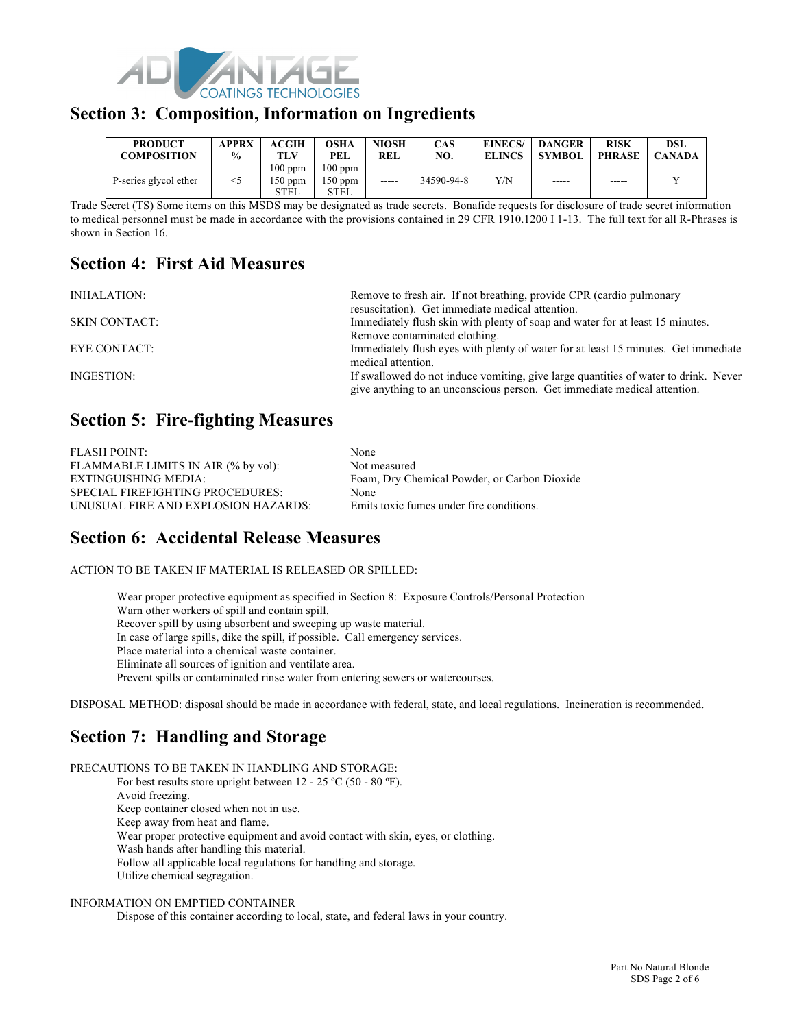

#### **Section 3: Composition, Information on Ingredients**

| <b>PRODUCT</b>        | <b>APPRX</b>  | <b>ACGIH</b>                 | OSHA                           | <b>NIOSH</b> | <b>CAS</b> | EINECS/       | <b>DANGER</b> | <b>RISK</b>   | DSL           |
|-----------------------|---------------|------------------------------|--------------------------------|--------------|------------|---------------|---------------|---------------|---------------|
| <b>COMPOSITION</b>    | $\frac{6}{9}$ | TLV                          | PEL                            | <b>REL</b>   | NO.        | <b>ELINCS</b> | <b>SYMBOL</b> | <b>PHRASE</b> | <b>CANADA</b> |
| P-series glycol ether | $<$ 5         | $100$ ppm<br>150 ppm<br>STEL | $100$ ppm<br>$150$ ppm<br>STEL | -----        | 34590-94-8 | Y/N           | -----         | -----         |               |

Trade Secret (TS) Some items on this MSDS may be designated as trade secrets. Bonafide requests for disclosure of trade secret information to medical personnel must be made in accordance with the provisions contained in 29 CFR 1910.1200 I 1-13. The full text for all R-Phrases is shown in Section 16.

### **Section 4: First Aid Measures**

INHALATION: Remove to fresh air. If not breathing, provide CPR (cardio pulmonary

resuscitation). Get immediate medical attention. SKIN CONTACT: Immediately flush skin with plenty of soap and water for at least 15 minutes. Remove contaminated clothing. EYE CONTACT: Immediately flush eyes with plenty of water for at least 15 minutes. Get immediate medical attention. INGESTION: If swallowed do not induce vomiting, give large quantities of water to drink. Never give anything to an unconscious person. Get immediate medical attention.

### **Section 5: Fire-fighting Measures**

| <b>FLASH POINT:</b>                     | None                                         |
|-----------------------------------------|----------------------------------------------|
| FLAMMABLE LIMITS IN AIR (% by vol):     | Not measured                                 |
| EXTINGUISHING MEDIA:                    | Foam, Dry Chemical Powder, or Carbon Dioxide |
| <b>SPECIAL FIREFIGHTING PROCEDURES:</b> | None                                         |
| UNUSUAL FIRE AND EXPLOSION HAZARDS:     | Emits toxic fumes under fire conditions.     |

### **Section 6: Accidental Release Measures**

ACTION TO BE TAKEN IF MATERIAL IS RELEASED OR SPILLED:

Wear proper protective equipment as specified in Section 8: Exposure Controls/Personal Protection Warn other workers of spill and contain spill. Recover spill by using absorbent and sweeping up waste material. In case of large spills, dike the spill, if possible. Call emergency services. Place material into a chemical waste container. Eliminate all sources of ignition and ventilate area. Prevent spills or contaminated rinse water from entering sewers or watercourses.

DISPOSAL METHOD: disposal should be made in accordance with federal, state, and local regulations. Incineration is recommended.

## **Section 7: Handling and Storage**

PRECAUTIONS TO BE TAKEN IN HANDLING AND STORAGE: For best results store upright between  $12 - 25$  °C (50 - 80 °F). Avoid freezing. Keep container closed when not in use. Keep away from heat and flame. Wear proper protective equipment and avoid contact with skin, eyes, or clothing. Wash hands after handling this material. Follow all applicable local regulations for handling and storage. Utilize chemical segregation.

#### INFORMATION ON EMPTIED CONTAINER

Dispose of this container according to local, state, and federal laws in your country.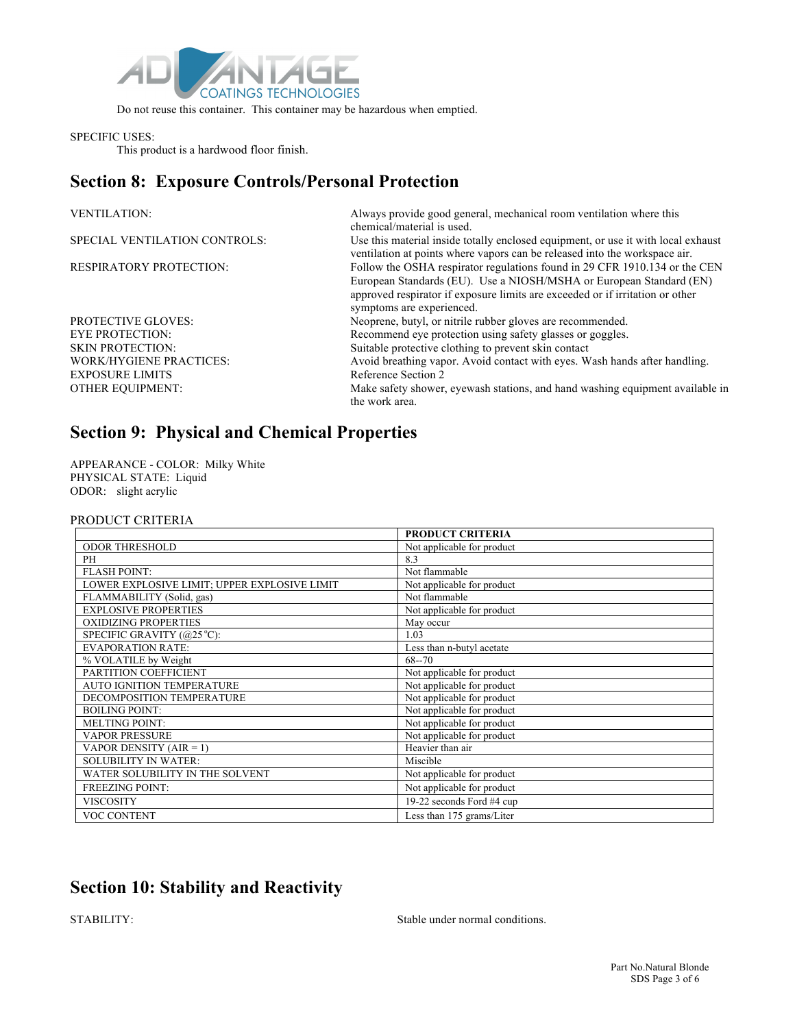

Do not reuse this container. This container may be hazardous when emptied.

#### SPECIFIC USES:

This product is a hardwood floor finish.

### **Section 8: Exposure Controls/Personal Protection**

| <b>VENTILATION:</b>            | Always provide good general, mechanical room ventilation where this<br>chemical/material is used.                                                                                                                                                               |
|--------------------------------|-----------------------------------------------------------------------------------------------------------------------------------------------------------------------------------------------------------------------------------------------------------------|
| SPECIAL VENTILATION CONTROLS:  | Use this material inside totally enclosed equipment, or use it with local exhaust<br>ventilation at points where vapors can be released into the workspace air.                                                                                                 |
| <b>RESPIRATORY PROTECTION:</b> | Follow the OSHA respirator regulations found in 29 CFR 1910.134 or the CEN<br>European Standards (EU). Use a NIOSH/MSHA or European Standard (EN)<br>approved respirator if exposure limits are exceeded or if irritation or other<br>symptoms are experienced. |
| <b>PROTECTIVE GLOVES:</b>      | Neoprene, butyl, or nitrile rubber gloves are recommended.                                                                                                                                                                                                      |
| <b>EYE PROTECTION:</b>         | Recommend eye protection using safety glasses or goggles.                                                                                                                                                                                                       |
| <b>SKIN PROTECTION:</b>        | Suitable protective clothing to prevent skin contact                                                                                                                                                                                                            |
| <b>WORK/HYGIENE PRACTICES:</b> | Avoid breathing vapor. Avoid contact with eyes. Wash hands after handling.                                                                                                                                                                                      |
| <b>EXPOSURE LIMITS</b>         | Reference Section 2                                                                                                                                                                                                                                             |
| <b>OTHER EQUIPMENT:</b>        | Make safety shower, eyewash stations, and hand washing equipment available in<br>the work area.                                                                                                                                                                 |

# **Section 9: Physical and Chemical Properties**

APPEARANCE - COLOR: Milky White PHYSICAL STATE: Liquid ODOR: slight acrylic

#### PRODUCT CRITERIA

|                                              | <b>PRODUCT CRITERIA</b>    |
|----------------------------------------------|----------------------------|
| <b>ODOR THRESHOLD</b>                        | Not applicable for product |
| PH                                           | 8.3                        |
| <b>FLASH POINT:</b>                          | Not flammable              |
| LOWER EXPLOSIVE LIMIT; UPPER EXPLOSIVE LIMIT | Not applicable for product |
| FLAMMABILITY (Solid, gas)                    | Not flammable              |
| <b>EXPLOSIVE PROPERTIES</b>                  | Not applicable for product |
| <b>OXIDIZING PROPERTIES</b>                  | May occur                  |
| SPECIFIC GRAVITY (@25 °C):                   | 1.03                       |
| <b>EVAPORATION RATE:</b>                     | Less than n-butyl acetate  |
| % VOLATILE by Weight                         | $68 - 70$                  |
| PARTITION COEFFICIENT                        | Not applicable for product |
| AUTO IGNITION TEMPERATURE                    | Not applicable for product |
| DECOMPOSITION TEMPERATURE                    | Not applicable for product |
| <b>BOILING POINT:</b>                        | Not applicable for product |
| <b>MELTING POINT:</b>                        | Not applicable for product |
| <b>VAPOR PRESSURE</b>                        | Not applicable for product |
| VAPOR DENSITY ( $AIR = 1$ )                  | Heavier than air           |
| <b>SOLUBILITY IN WATER:</b>                  | Miscible                   |
| WATER SOLUBILITY IN THE SOLVENT              | Not applicable for product |
| <b>FREEZING POINT:</b>                       | Not applicable for product |
| <b>VISCOSITY</b>                             | 19-22 seconds Ford #4 cup  |
| <b>VOC CONTENT</b>                           | Less than 175 grams/Liter  |

### **Section 10: Stability and Reactivity**

STABILITY: Stable under normal conditions.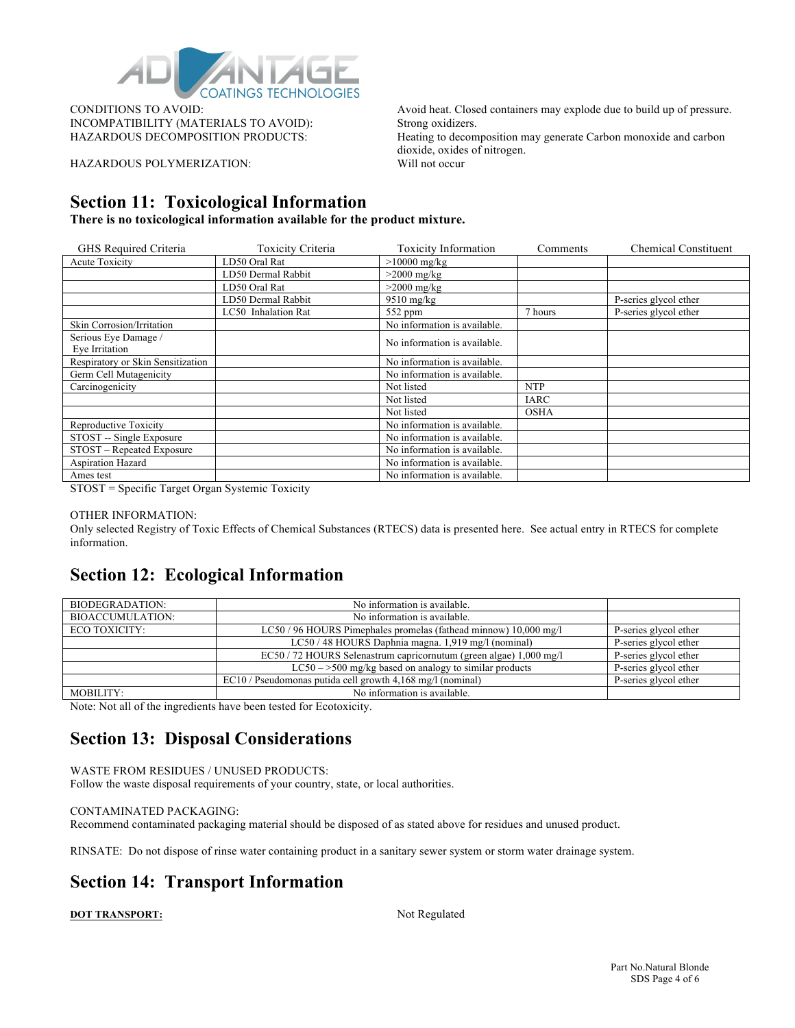

INCOMPATIBILITY (MATERIALS TO AVOID): Strong oxidizers.

HAZARDOUS POLYMERIZATION: Will not occur

CONDITIONS TO AVOID: Avoid heat. Closed containers may explode due to build up of pressure. HAZARDOUS DECOMPOSITION PRODUCTS: Heating to decomposition may generate Carbon monoxide and carbon dioxide, oxides of nitrogen.

### **Section 11: Toxicological Information**

**There is no toxicological information available for the product mixture.**

| GHS Required Criteria             | Toxicity Criteria   | <b>Toxicity Information</b>  | Comments    | <b>Chemical Constituent</b> |
|-----------------------------------|---------------------|------------------------------|-------------|-----------------------------|
| <b>Acute Toxicity</b>             | LD50 Oral Rat       | $>10000$ mg/kg               |             |                             |
|                                   | LD50 Dermal Rabbit  | $>2000$ mg/kg                |             |                             |
|                                   | LD50 Oral Rat       | $>2000$ mg/kg                |             |                             |
|                                   | LD50 Dermal Rabbit  | $9510$ mg/kg                 |             | P-series glycol ether       |
|                                   | LC50 Inhalation Rat | $552$ ppm                    | 7 hours     | P-series glycol ether       |
| Skin Corrosion/Irritation         |                     | No information is available. |             |                             |
| Serious Eye Damage /              |                     | No information is available. |             |                             |
| Eye Irritation                    |                     |                              |             |                             |
| Respiratory or Skin Sensitization |                     | No information is available. |             |                             |
| Germ Cell Mutagenicity            |                     | No information is available. |             |                             |
| Carcinogenicity                   |                     | Not listed                   | <b>NTP</b>  |                             |
|                                   |                     | Not listed                   | IARC        |                             |
|                                   |                     | Not listed                   | <b>OSHA</b> |                             |
| Reproductive Toxicity             |                     | No information is available. |             |                             |
| STOST -- Single Exposure          |                     | No information is available. |             |                             |
| STOST – Repeated Exposure         |                     | No information is available. |             |                             |
| Aspiration Hazard                 |                     | No information is available. |             |                             |
| Ames test                         |                     | No information is available. |             |                             |

STOST = Specific Target Organ Systemic Toxicity

#### OTHER INFORMATION:

Only selected Registry of Toxic Effects of Chemical Substances (RTECS) data is presented here. See actual entry in RTECS for complete information.

#### **Section 12: Ecological Information**

| BIODEGRADATION:         | No information is available.                                       |                       |
|-------------------------|--------------------------------------------------------------------|-----------------------|
| <b>BIOACCUMULATION:</b> | No information is available.                                       |                       |
| ECO TOXICITY:           | LC50/96 HOURS Pimephales promelas (fathead minnow) 10,000 mg/l     | P-series glycol ether |
|                         | LC50 / 48 HOURS Daphnia magna. 1,919 mg/l (nominal)                | P-series glycol ether |
|                         | EC50 / 72 HOURS Selenastrum capricornutum (green algae) 1,000 mg/l | P-series glycol ether |
|                         | $LC50 - >500$ mg/kg based on analogy to similar products           | P-series glycol ether |
|                         | EC10 / Pseudomonas putida cell growth 4,168 mg/l (nominal)         | P-series glycol ether |
| MOBILITY:               | No information is available.                                       |                       |

Note: Not all of the ingredients have been tested for Ecotoxicity.

### **Section 13: Disposal Considerations**

WASTE FROM RESIDUES / UNUSED PRODUCTS: Follow the waste disposal requirements of your country, state, or local authorities.

#### CONTAMINATED PACKAGING:

Recommend contaminated packaging material should be disposed of as stated above for residues and unused product.

RINSATE: Do not dispose of rinse water containing product in a sanitary sewer system or storm water drainage system.

### **Section 14: Transport Information**

**DOT TRANSPORT:** Not Regulated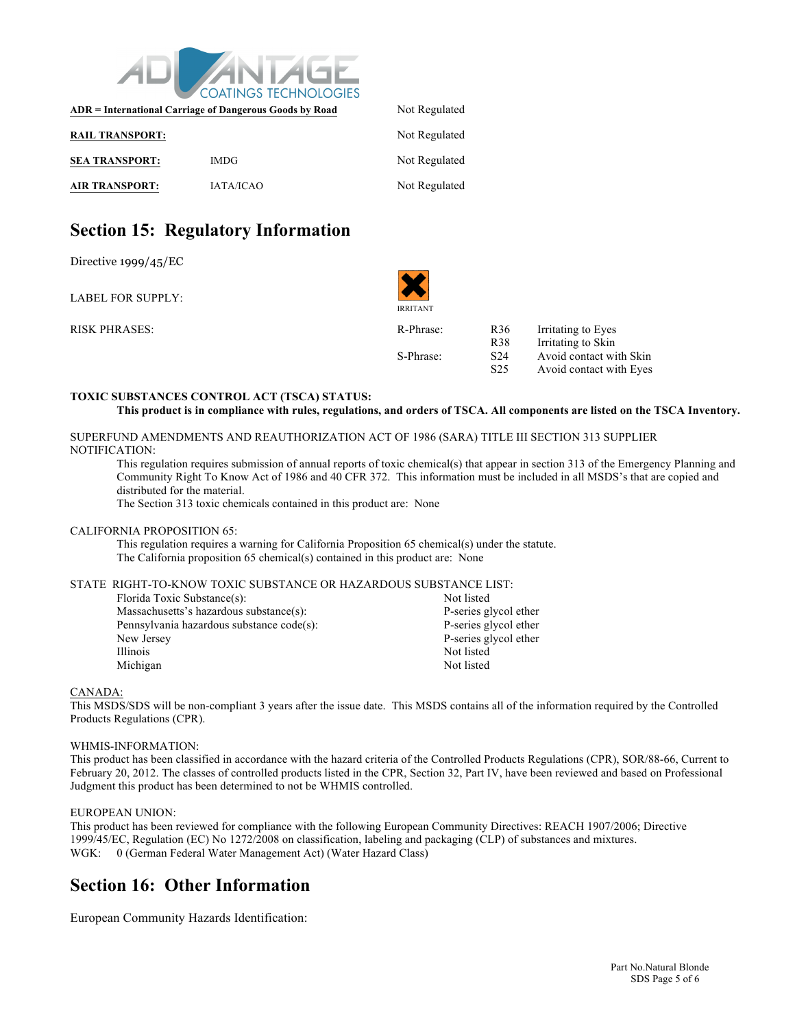

| ADR = International Carriage of Dangerous Goods by Road | Not Regulated    |               |  |
|---------------------------------------------------------|------------------|---------------|--|
| <b>RAIL TRANSPORT:</b>                                  |                  | Not Regulated |  |
| <b>SEA TRANSPORT:</b>                                   | <b>IMDG</b>      | Not Regulated |  |
| <b>AIR TRANSPORT:</b>                                   | <b>IATA/ICAO</b> | Not Regulated |  |

### **Section 15: Regulatory Information**

Directive 1999/45/EC

LABEL FOR SUPPLY:

RISK PHRASES: R36 IR-Phra

IRRITANT

▼▼

| R-Phrase: | R <sub>36</sub> | Irritating to Eyes      |
|-----------|-----------------|-------------------------|
|           | R <sub>38</sub> | Irritating to Skin      |
| S-Phrase: | S <sub>24</sub> | Avoid contact with Skin |
|           | S <sub>25</sub> | Avoid contact with Eyes |

#### **TOXIC SUBSTANCES CONTROL ACT (TSCA) STATUS:**

```
This product is in compliance with rules, regulations, and orders of TSCA. All components are listed on the TSCA Inventory.
```
SUPERFUND AMENDMENTS AND REAUTHORIZATION ACT OF 1986 (SARA) TITLE III SECTION 313 SUPPLIER NOTIFICATION:

This regulation requires submission of annual reports of toxic chemical(s) that appear in section 313 of the Emergency Planning and Community Right To Know Act of 1986 and 40 CFR 372. This information must be included in all MSDS's that are copied and distributed for the material.

The Section 313 toxic chemicals contained in this product are: None

#### CALIFORNIA PROPOSITION 65:

This regulation requires a warning for California Proposition 65 chemical(s) under the statute. The California proposition 65 chemical(s) contained in this product are: None

#### STATE RIGHT-TO-KNOW TOXIC SUBSTANCE OR HAZARDOUS SUBSTANCE LIST:

| Florida Toxic Substance(s):               | Not listed            |
|-------------------------------------------|-----------------------|
| Massachusetts's hazardous substance(s):   | P-series glycol ether |
| Pennsylvania hazardous substance code(s): | P-series glycol ether |
| New Jersey                                | P-series glycol ether |
| <i>Illinois</i>                           | Not listed            |
| Michigan                                  | Not listed            |

#### CANADA:

This MSDS/SDS will be non-compliant 3 years after the issue date. This MSDS contains all of the information required by the Controlled Products Regulations (CPR).

#### WHMIS-INFORMATION:

This product has been classified in accordance with the hazard criteria of the Controlled Products Regulations (CPR), SOR/88-66, Current to February 20, 2012. The classes of controlled products listed in the CPR, Section 32, Part IV, have been reviewed and based on Professional Judgment this product has been determined to not be WHMIS controlled.

#### EUROPEAN UNION:

This product has been reviewed for compliance with the following European Community Directives: REACH 1907/2006; Directive 1999/45/EC, Regulation (EC) No 1272/2008 on classification, labeling and packaging (CLP) of substances and mixtures. WGK: 0 (German Federal Water Management Act) (Water Hazard Class)

#### **Section 16: Other Information**

European Community Hazards Identification: